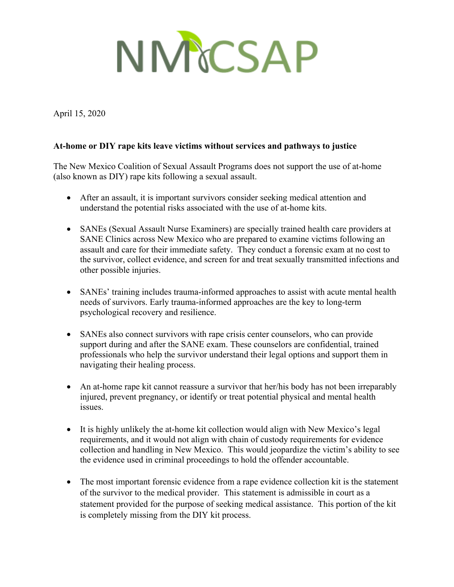

April 15, 2020

## **At-home or DIY rape kits leave victims without services and pathways to justice**

The New Mexico Coalition of Sexual Assault Programs does not support the use of at-home (also known as DIY) rape kits following a sexual assault.

- After an assault, it is important survivors consider seeking medical attention and understand the potential risks associated with the use of at-home kits.
- SANEs (Sexual Assault Nurse Examiners) are specially trained health care providers at SANE Clinics across New Mexico who are prepared to examine victims following an assault and care for their immediate safety. They conduct a forensic exam at no cost to the survivor, collect evidence, and screen for and treat sexually transmitted infections and other possible injuries.
- SANEs' training includes trauma-informed approaches to assist with acute mental health needs of survivors. Early trauma-informed approaches are the key to long-term psychological recovery and resilience.
- SANEs also connect survivors with rape crisis center counselors, who can provide support during and after the SANE exam. These counselors are confidential, trained professionals who help the survivor understand their legal options and support them in navigating their healing process.
- An at-home rape kit cannot reassure a survivor that her/his body has not been irreparably injured, prevent pregnancy, or identify or treat potential physical and mental health issues.
- It is highly unlikely the at-home kit collection would align with New Mexico's legal requirements, and it would not align with chain of custody requirements for evidence collection and handling in New Mexico. This would jeopardize the victim's ability to see the evidence used in criminal proceedings to hold the offender accountable.
- The most important forensic evidence from a rape evidence collection kit is the statement of the survivor to the medical provider. This statement is admissible in court as a statement provided for the purpose of seeking medical assistance. This portion of the kit is completely missing from the DIY kit process.